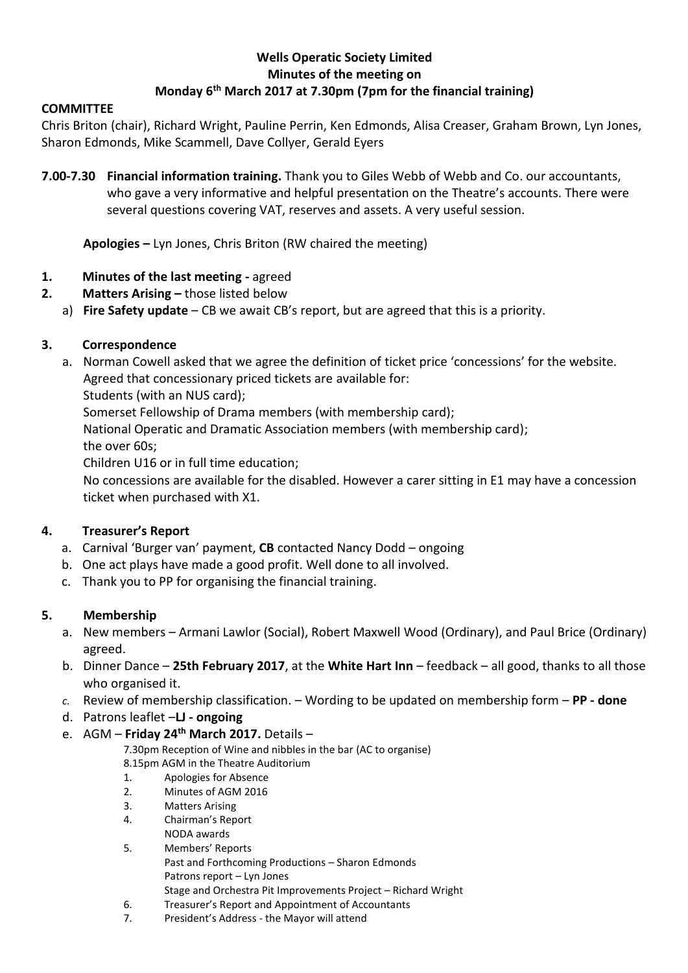## **Wells Operatic Society Limited Minutes of the meeting on Monday 6 th March 2017 at 7.30pm (7pm for the financial training)**

#### **COMMITTEE**

Chris Briton (chair), Richard Wright, Pauline Perrin, Ken Edmonds, Alisa Creaser, Graham Brown, Lyn Jones, Sharon Edmonds, Mike Scammell, Dave Collyer, Gerald Eyers

**7.00-7.30 Financial information training.** Thank you to Giles Webb of Webb and Co. our accountants, who gave a very informative and helpful presentation on the Theatre's accounts. There were several questions covering VAT, reserves and assets. A very useful session.

**Apologies –** Lyn Jones, Chris Briton (RW chaired the meeting)

- **1. Minutes of the last meeting -** agreed
- **2. Matters Arising –** those listed below
	- a) **Fire Safety update**  CB we await CB's report, but are agreed that this is a priority.

### **3. Correspondence**

a. Norman Cowell asked that we agree the definition of ticket price 'concessions' for the website. Agreed that concessionary priced tickets are available for: Students (with an NUS card);

Somerset Fellowship of Drama members (with membership card);

National Operatic and Dramatic Association members (with membership card); the over 60s;

Children U16 or in full time education;

No concessions are available for the disabled. However a carer sitting in E1 may have a concession ticket when purchased with X1.

## **4. Treasurer's Report**

- a. Carnival 'Burger van' payment, **CB** contacted Nancy Dodd ongoing
- b. One act plays have made a good profit. Well done to all involved.
- c. Thank you to PP for organising the financial training.

## **5. Membership**

- a. New members Armani Lawlor (Social), Robert Maxwell Wood (Ordinary), and Paul Brice (Ordinary) agreed.
- b. Dinner Dance **25th February 2017**, at the **White Hart Inn** feedback all good, thanks to all those who organised it.
- *c.* Review of membership classification. Wording to be updated on membership form **PP - done**
- d. Patrons leaflet –**LJ - ongoing**
- e. AGM **Friday 24th March 2017.** Details –

7.30pm Reception of Wine and nibbles in the bar (AC to organise)

8.15pm AGM in the Theatre Auditorium

- 1. Apologies for Absence
- 2. Minutes of AGM 2016
- 3. Matters Arising
- 4. Chairman's Report
- NODA awards
- 5. Members' Reports
- Past and Forthcoming Productions Sharon Edmonds Patrons report – Lyn Jones
- Stage and Orchestra Pit Improvements Project Richard Wright 6. Treasurer's Report and Appointment of Accountants
- 7. President's Address the Mayor will attend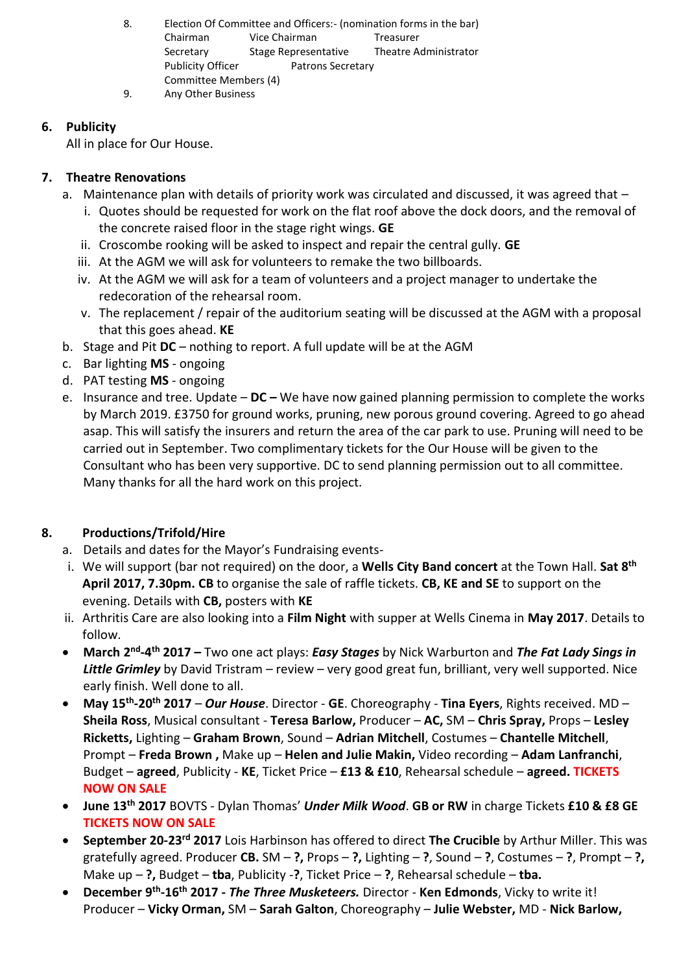8. Election Of Committee and Officers:- (nomination forms in the bar) Chairman Vice Chairman Treasurer Secretary Stage Representative Theatre Administrator Publicity Officer Patrons Secretary Committee Members (4) 9. Any Other Business

### **6. Publicity**

All in place for Our House.

## **7. Theatre Renovations**

- a. Maintenance plan with details of priority work was circulated and discussed, it was agreed that
	- i. Quotes should be requested for work on the flat roof above the dock doors, and the removal of the concrete raised floor in the stage right wings. **GE**
	- ii. Croscombe rooking will be asked to inspect and repair the central gully. **GE**
	- iii. At the AGM we will ask for volunteers to remake the two billboards.
	- iv. At the AGM we will ask for a team of volunteers and a project manager to undertake the redecoration of the rehearsal room.
	- v. The replacement / repair of the auditorium seating will be discussed at the AGM with a proposal that this goes ahead. **KE**
- b. Stage and Pit **DC** nothing to report. A full update will be at the AGM
- c. Bar lighting **MS** ongoing
- d. PAT testing **MS** ongoing
- e. Insurance and tree. Update **DC –** We have now gained planning permission to complete the works by March 2019. £3750 for ground works, pruning, new porous ground covering. Agreed to go ahead asap. This will satisfy the insurers and return the area of the car park to use. Pruning will need to be carried out in September. Two complimentary tickets for the Our House will be given to the Consultant who has been very supportive. DC to send planning permission out to all committee. Many thanks for all the hard work on this project.

# **8. Productions/Trifold/Hire**

- a. Details and dates for the Mayor's Fundraising events-
- i. We will support (bar not required) on the door, a **Wells City Band concert** at the Town Hall. **Sat 8th April 2017, 7.30pm. CB** to organise the sale of raffle tickets. **CB, KE and SE** to support on the evening. Details with **CB,** posters with **KE**
- ii. Arthritis Care are also looking into a **Film Night** with supper at Wells Cinema in **May 2017**. Details to follow.
- **March 2<sup>nd</sup>-4<sup>th</sup> 2017 –** Two one act plays: *Easy Stages* by Nick Warburton and *The Fat Lady Sings in Little Grimley* by David Tristram – review – very good great fun, brilliant, very well supported. Nice early finish. Well done to all.
- **May 15th -20th 2017**  *Our House*. Director **GE**. Choreography **Tina Eyers**, Rights received. MD **Sheila Ross**, Musical consultant - **Teresa Barlow,** Producer – **AC,** SM – **Chris Spray,** Props – **Lesley Ricketts,** Lighting – **Graham Brown**, Sound – **Adrian Mitchell**, Costumes – **Chantelle Mitchell**, Prompt – **Freda Brown ,** Make up – **Helen and Julie Makin,** Video recording – **Adam Lanfranchi**, Budget – **agreed**, Publicity - **KE**, Ticket Price – **£13 & £10**, Rehearsal schedule – **agreed. TICKETS NOW ON SALE**
- **June 13th 2017** BOVTS Dylan Thomas' *Under Milk Wood*. **GB or RW** in charge Tickets **£10 & £8 GE TICKETS NOW ON SALE**
- **September 20-23rd 2017** Lois Harbinson has offered to direct **The Crucible** by Arthur Miller. This was gratefully agreed. Producer **CB.** SM – **?,** Props – **?,** Lighting – **?**, Sound – **?**, Costumes – **?**, Prompt – **?,**  Make up – **?,** Budget – **tba**, Publicity -**?**, Ticket Price – **?**, Rehearsal schedule – **tba.**
- **•** December 9<sup>th</sup>-16<sup>th</sup> 2017 *The Three Musketeers.* Director Ken Edmonds, Vicky to write it! Producer – **Vicky Orman,** SM – **Sarah Galton**, Choreography – **Julie Webster,** MD - **Nick Barlow,**